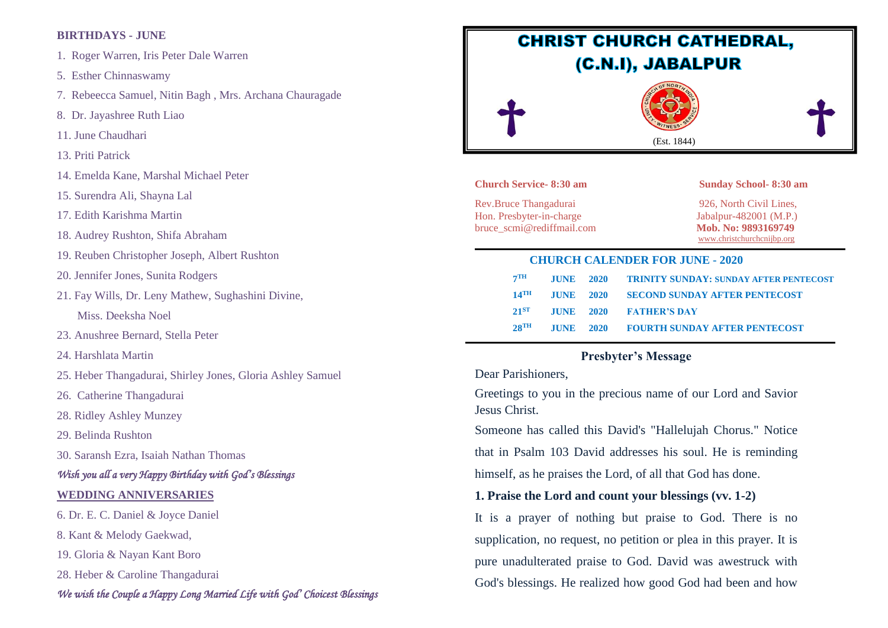## **BIRTHDAYS - JUNE**

- 1. Roger Warren, Iris Peter Dale Warren
- 5. Esther Chinnaswamy
- 7. Rebeecca Samuel, Nitin Bagh , Mrs. Archana Chauragade
- 8. Dr. Jayashree Ruth Liao
- 11. June Chaudhari
- 13. Priti Patrick
- 14. Emelda Kane, Marshal Michael Peter
- 15. Surendra Ali, Shayna Lal
- 17. Edith Karishma Martin
- 18. Audrey Rushton, Shifa Abraham
- 19. Reuben Christopher Joseph, Albert Rushton
- 20. Jennifer Jones, Sunita Rodgers
- 21. Fay Wills, Dr. Leny Mathew, Sughashini Divine,

Miss. Deeksha Noel

- 23. Anushree Bernard, Stella Peter
- 24. Harshlata Martin
- 25. Heber Thangadurai, Shirley Jones, Gloria Ashley Samuel
- 26. Catherine Thangadurai
- 28. Ridley Ashley Munzey
- 29. Belinda Rushton
- 30. Saransh Ezra, Isaiah Nathan Thomas

## *Wish you all a very Happy Birthday with God's Blessings*

#### **WEDDING ANNIVERSARIES**

6. Dr. E. C. Daniel & Joyce Daniel

8. Kant & Melody Gaekwad,

- 19. Gloria & Nayan Kant Boro
- 28. Heber & Caroline Thangadurai

## *We wish the Couple a Happy Long Married Life with God' Choicest Blessings*



#### **Church Service- 8:30 am Sunday School- 8:30 am**

Rev.Bruce Thangadurai 926, North Civil Lines, Hon. Presbyter-in-charge Jabalpur-482001 (M.P.) bruce scmi@rediffmail.com Mob. No: 9893169749

[www.christchurchcnijbp.org](http://www.christchurchcnijbp.org/)

#### **CHURCH CALENDER FOR JUNE - 2020**

| 7TH                |  | <b>JUNE 2020 TRINITY SUNDAY: SUNDAY AFTER PENTECOST</b> |
|--------------------|--|---------------------------------------------------------|
| $14$ TH            |  | <b>JUNE 2020 SECOND SUNDAY AFTER PENTECOST</b>          |
| $21^{ST}$          |  | JUNE 2020 FATHER'S DAY                                  |
| $28$ <sup>TH</sup> |  | <b>JUNE 2020 FOURTH SUNDAY AFTER PENTECOST</b>          |

## **Presbyter's Message**

## Dear Parishioners,

Greetings to you in the precious name of our Lord and Savior Jesus Christ.

Someone has called this David's "Hallelujah Chorus." Notice that in Psalm 103 David addresses his soul. He is reminding himself, as he praises the Lord, of all that God has done.

## **1. Praise the Lord and count your blessings (vv. 1-2)**

It is a prayer of nothing but praise to God. There is no supplication, no request, no petition or plea in this prayer. It is pure unadulterated praise to God. David was awestruck with God's blessings. He realized how good God had been and how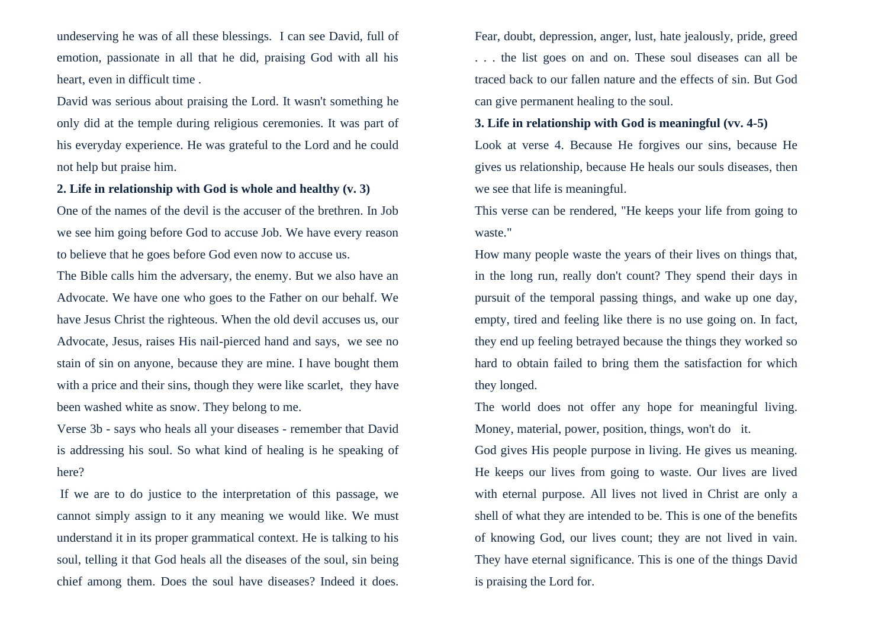undeserving he was of all these blessings. I can see David, full of emotion, passionate in all that he did, praising God with all his heart, even in difficult time .

David was serious about praising the Lord. It wasn't something he only did at the temple during religious ceremonies. It was part of his everyday experience. He was grateful to the Lord and he could not help but praise him.

## **2. Life in relationship with God is whole and healthy (v. 3)**

One of the names of the devil is the accuser of the brethren. In Job we see him going before God to accuse Job. We have every reason to believe that he goes before God even now to accuse us.

The Bible calls him the adversary, the enemy. But we also have an Advocate. We have one who goes to the Father on our behalf. We have Jesus Christ the righteous. When the old devil accuses us, our Advocate, Jesus, raises His nail-pierced hand and says, we see no stain of sin on anyone, because they are mine. I have bought them with a price and their sins, though they were like scarlet, they have been washed white as snow. They belong to me.

Verse 3b - says who heals all your diseases - remember that David is addressing his soul. So what kind of healing is he speaking of here?

If we are to do justice to the interpretation of this passage, we cannot simply assign to it any meaning we would like. We must understand it in its proper grammatical context. He is talking to his soul, telling it that God heals all the diseases of the soul, sin being chief among them. Does the soul have diseases? Indeed it does. Fear, doubt, depression, anger, lust, hate jealously, pride, greed . . . the list goes on and on. These soul diseases can all be traced back to our fallen nature and the effects of sin. But God can give permanent healing to the soul.

### **3. Life in relationship with God is meaningful (vv. 4-5)**

Look at verse 4. Because He forgives our sins, because He gives us relationship, because He heals our souls diseases, then we see that life is meaningful.

This verse can be rendered, "He keeps your life from going to waste."

How many people waste the years of their lives on things that, in the long run, really don't count? They spend their days in pursuit of the temporal passing things, and wake up one day, empty, tired and feeling like there is no use going on. In fact, they end up feeling betrayed because the things they worked so hard to obtain failed to bring them the satisfaction for which they longed.

The world does not offer any hope for meaningful living. Money, material, power, position, things, won't do it.

God gives His people purpose in living. He gives us meaning. He keeps our lives from going to waste. Our lives are lived with eternal purpose. All lives not lived in Christ are only a shell of what they are intended to be. This is one of the benefits of knowing God, our lives count; they are not lived in vain. They have eternal significance. This is one of the things David is praising the Lord for.